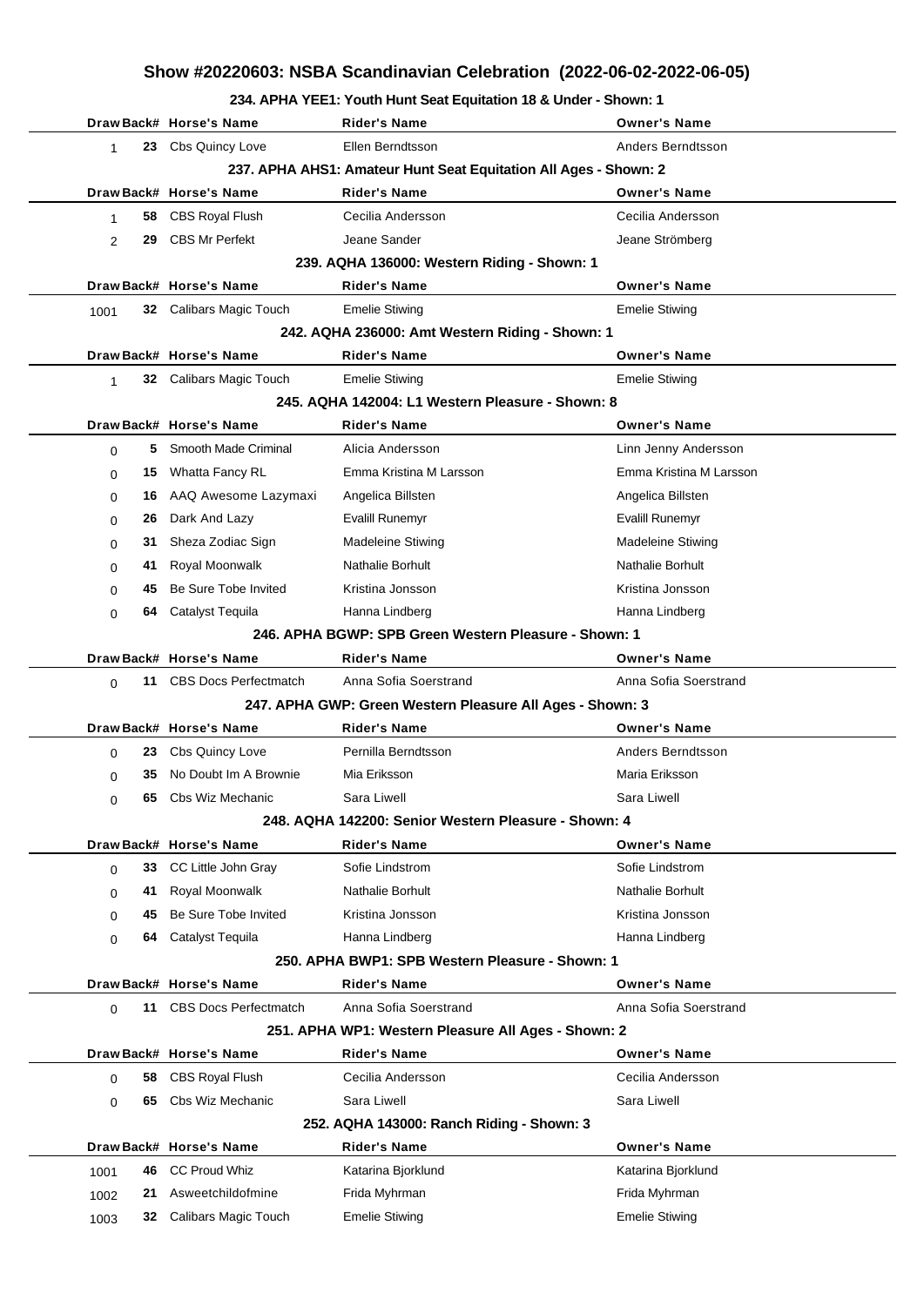## **Show #20220603: NSBA Scandinavian Celebration (2022-06-02-2022-06-05)**

## **234. APHA YEE1: Youth Hunt Seat Equitation 18 & Under - Shown: 1**

|                                                                        |                                                                                             | Draw Back# Horse's Name      | Rider's Name                                          | <b>Owner's Name</b>      |  |  |  |  |  |  |  |
|------------------------------------------------------------------------|---------------------------------------------------------------------------------------------|------------------------------|-------------------------------------------------------|--------------------------|--|--|--|--|--|--|--|
| $\mathbf{1}$                                                           |                                                                                             | 23 Cbs Quincy Love           | Ellen Berndtsson                                      | Anders Berndtsson        |  |  |  |  |  |  |  |
|                                                                        | 237. APHA AHS1: Amateur Hunt Seat Equitation All Ages - Shown: 2<br>Draw Back# Horse's Name |                              |                                                       |                          |  |  |  |  |  |  |  |
|                                                                        |                                                                                             |                              | <b>Rider's Name</b>                                   | <b>Owner's Name</b>      |  |  |  |  |  |  |  |
| 1                                                                      | 58                                                                                          | CBS Royal Flush              | Cecilia Andersson                                     | Cecilia Andersson        |  |  |  |  |  |  |  |
| $\overline{2}$                                                         | 29                                                                                          | <b>CBS Mr Perfekt</b>        | Jeane Sander                                          | Jeane Strömberg          |  |  |  |  |  |  |  |
| 239. AQHA 136000: Western Riding - Shown: 1<br>Draw Back# Horse's Name |                                                                                             |                              |                                                       |                          |  |  |  |  |  |  |  |
|                                                                        |                                                                                             |                              | <b>Rider's Name</b>                                   | <b>Owner's Name</b>      |  |  |  |  |  |  |  |
| 1001                                                                   |                                                                                             | 32 Calibars Magic Touch      | <b>Emelie Stiwing</b>                                 | <b>Emelie Stiwing</b>    |  |  |  |  |  |  |  |
| 242. AQHA 236000: Amt Western Riding - Shown: 1                        |                                                                                             |                              |                                                       |                          |  |  |  |  |  |  |  |
|                                                                        |                                                                                             | Draw Back# Horse's Name      | <b>Rider's Name</b>                                   | <b>Owner's Name</b>      |  |  |  |  |  |  |  |
| $\mathbf{1}$                                                           |                                                                                             | 32 Calibars Magic Touch      | <b>Emelie Stiwing</b>                                 | <b>Emelie Stiwing</b>    |  |  |  |  |  |  |  |
| 245. AQHA 142004: L1 Western Pleasure - Shown: 8                       |                                                                                             |                              |                                                       |                          |  |  |  |  |  |  |  |
|                                                                        |                                                                                             | Draw Back# Horse's Name      | <b>Rider's Name</b>                                   | <b>Owner's Name</b>      |  |  |  |  |  |  |  |
| $\Omega$                                                               | 5.                                                                                          | Smooth Made Criminal         | Alicia Andersson                                      | Linn Jenny Andersson     |  |  |  |  |  |  |  |
| 0                                                                      | 15                                                                                          | Whatta Fancy RL              | Emma Kristina M Larsson                               | Emma Kristina M Larsson  |  |  |  |  |  |  |  |
| 0                                                                      |                                                                                             | 16 AAQ Awesome Lazymaxi      | Angelica Billsten                                     | Angelica Billsten        |  |  |  |  |  |  |  |
| $\Omega$                                                               | 26                                                                                          | Dark And Lazy                | Evalill Runemyr                                       | Evalill Runemyr          |  |  |  |  |  |  |  |
| 0                                                                      | 31                                                                                          | Sheza Zodiac Sign            | <b>Madeleine Stiwing</b>                              | <b>Madeleine Stiwing</b> |  |  |  |  |  |  |  |
| 0                                                                      | 41                                                                                          | Royal Moonwalk               | Nathalie Borhult                                      | <b>Nathalie Borhult</b>  |  |  |  |  |  |  |  |
| $\Omega$                                                               | 45                                                                                          | Be Sure Tobe Invited         | Kristina Jonsson                                      | Kristina Jonsson         |  |  |  |  |  |  |  |
| $\Omega$                                                               | 64                                                                                          | Catalyst Tequila             | Hanna Lindberg                                        | Hanna Lindberg           |  |  |  |  |  |  |  |
|                                                                        |                                                                                             |                              | 246. APHA BGWP: SPB Green Western Pleasure - Shown: 1 |                          |  |  |  |  |  |  |  |
|                                                                        |                                                                                             | Draw Back# Horse's Name      | <b>Rider's Name</b>                                   | <b>Owner's Name</b>      |  |  |  |  |  |  |  |
| $\Omega$                                                               | 11                                                                                          | <b>CBS Docs Perfectmatch</b> | Anna Sofia Soerstrand                                 | Anna Sofia Soerstrand    |  |  |  |  |  |  |  |
| 247. APHA GWP: Green Western Pleasure All Ages - Shown: 3              |                                                                                             |                              |                                                       |                          |  |  |  |  |  |  |  |
|                                                                        |                                                                                             | Draw Back# Horse's Name      | Rider's Name                                          | <b>Owner's Name</b>      |  |  |  |  |  |  |  |
| $\Omega$                                                               | 23                                                                                          | <b>Cbs Quincy Love</b>       | Pernilla Berndtsson                                   | Anders Berndtsson        |  |  |  |  |  |  |  |
| $\Omega$                                                               | 35                                                                                          | No Doubt Im A Brownie        | Mia Eriksson                                          | Maria Eriksson           |  |  |  |  |  |  |  |
| 0                                                                      |                                                                                             | 65 Cbs Wiz Mechanic          | Sara Liwell                                           | Sara Liwell              |  |  |  |  |  |  |  |
| 248. AQHA 142200: Senior Western Pleasure - Shown: 4                   |                                                                                             |                              |                                                       |                          |  |  |  |  |  |  |  |
|                                                                        |                                                                                             | Draw Back# Horse's Name      | <b>Rider's Name</b>                                   | <b>Owner's Name</b>      |  |  |  |  |  |  |  |
| $\Omega$                                                               | 33                                                                                          | CC Little John Gray          | Sofie Lindstrom                                       | Sofie Lindstrom          |  |  |  |  |  |  |  |
| 0                                                                      | 41                                                                                          | Royal Moonwalk               | Nathalie Borhult                                      | Nathalie Borhult         |  |  |  |  |  |  |  |
| $\Omega$                                                               | 45                                                                                          | Be Sure Tobe Invited         | Kristina Jonsson                                      | Kristina Jonsson         |  |  |  |  |  |  |  |
| $\Omega$                                                               | 64                                                                                          | Catalyst Tequila             | Hanna Lindberg                                        | Hanna Lindberg           |  |  |  |  |  |  |  |
| 250. APHA BWP1: SPB Western Pleasure - Shown: 1                        |                                                                                             |                              |                                                       |                          |  |  |  |  |  |  |  |
|                                                                        |                                                                                             | Draw Back# Horse's Name      | <b>Rider's Name</b>                                   | <b>Owner's Name</b>      |  |  |  |  |  |  |  |
| $\Omega$                                                               | 11                                                                                          | <b>CBS Docs Perfectmatch</b> | Anna Sofia Soerstrand                                 | Anna Sofia Soerstrand    |  |  |  |  |  |  |  |
|                                                                        |                                                                                             |                              | 251. APHA WP1: Western Pleasure All Ages - Shown: 2   |                          |  |  |  |  |  |  |  |
|                                                                        |                                                                                             | Draw Back# Horse's Name      | <b>Rider's Name</b>                                   | <b>Owner's Name</b>      |  |  |  |  |  |  |  |
| $\Omega$                                                               | 58                                                                                          | <b>CBS Royal Flush</b>       | Cecilia Andersson                                     | Cecilia Andersson        |  |  |  |  |  |  |  |
| $\Omega$                                                               | 65                                                                                          | Cbs Wiz Mechanic             | Sara Liwell                                           | Sara Liwell              |  |  |  |  |  |  |  |
| 252. AQHA 143000: Ranch Riding - Shown: 3                              |                                                                                             |                              |                                                       |                          |  |  |  |  |  |  |  |
|                                                                        |                                                                                             | Draw Back# Horse's Name      | <b>Rider's Name</b>                                   | <b>Owner's Name</b>      |  |  |  |  |  |  |  |
| 1001                                                                   | 46                                                                                          | <b>CC Proud Whiz</b>         | Katarina Bjorklund                                    | Katarina Bjorklund       |  |  |  |  |  |  |  |
| 1002                                                                   | 21                                                                                          | Asweetchildofmine            | Frida Myhrman                                         | Frida Myhrman            |  |  |  |  |  |  |  |
| 1003                                                                   | 32                                                                                          | Calibars Magic Touch         | <b>Emelie Stiwing</b>                                 | <b>Emelie Stiwing</b>    |  |  |  |  |  |  |  |
|                                                                        |                                                                                             |                              |                                                       |                          |  |  |  |  |  |  |  |